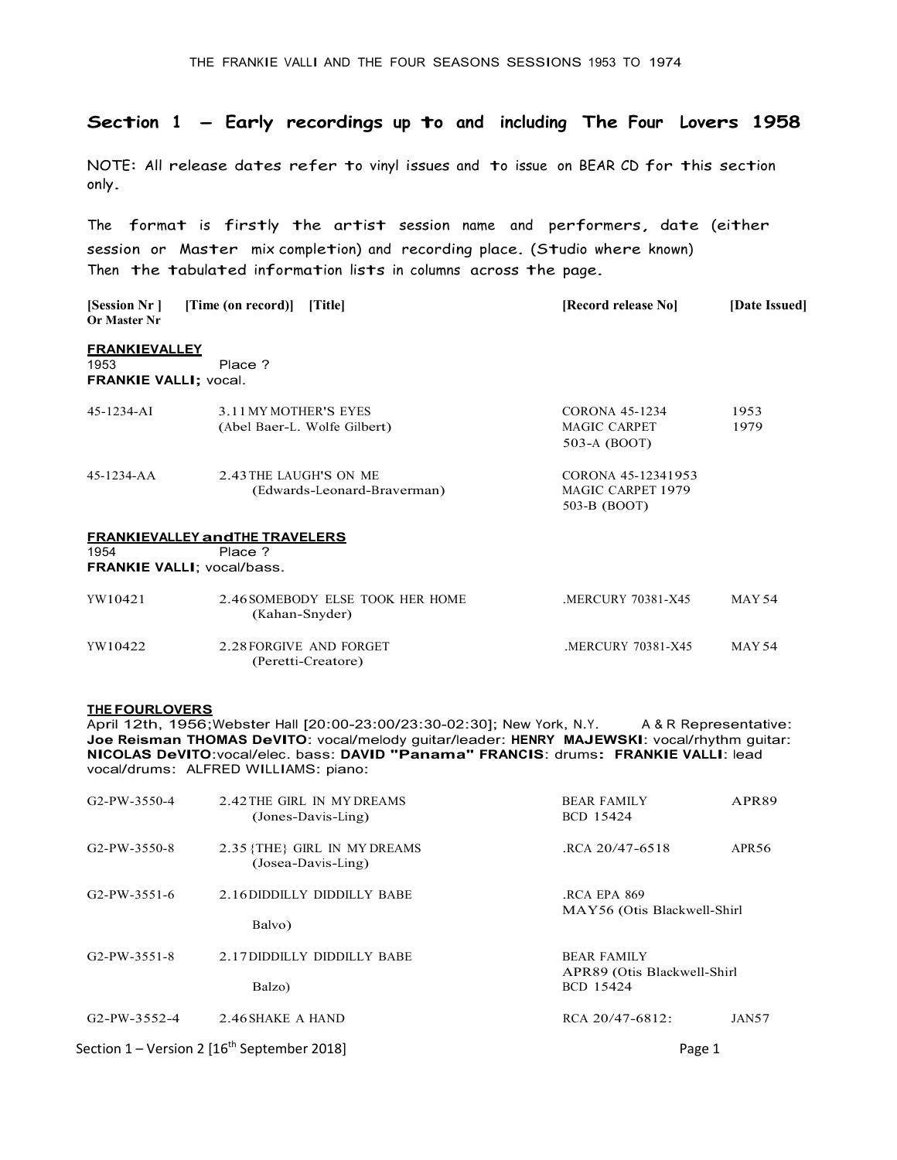# Section  $1$  - Early recordings up to and including The Four Lovers 1958

NOTE: All release dates refer to vinyl issues and to issue on BEAR CD for thi<sup>s</sup> section only.

The format is firstly the artist session name and performers, date (either session or Master mix completion) and recording place. (Studi<sup>o</sup> where known) Then the tabulated information <sup>l</sup><sup>i</sup>sts in columns across the page.

| [Session Nr ]<br>Or Master Nr                                | [Time (on record)] [Title]                                                             | [Record release No]                                     | [Date Issued] |
|--------------------------------------------------------------|----------------------------------------------------------------------------------------|---------------------------------------------------------|---------------|
| <b>FRANKIEVALLEY</b><br>1953<br><b>FRANKIE VALLI; vocal.</b> | Place ?                                                                                |                                                         |               |
| 45-1234-AI                                                   | 3.11 MY MOTHER'S EYES<br>(Abel Baer-L. Wolfe Gilbert)                                  | <b>CORONA 45-1234</b><br>MAGIC CARPET<br>503-A (BOOT)   | 1953<br>1979  |
| 45-1234-AA                                                   | 2.43 THE LAUGH'S ON ME<br>(Edwards-Leonard-Braverman)                                  | CORONA 45-12341953<br>MAGIC CARPET 1979<br>503-B (BOOT) |               |
| 1954                                                         | <b>FRANKIEVALLEY and THE TRAVELERS</b><br>Place ?<br><b>FRANKIE VALLI: vocal/bass.</b> |                                                         |               |
| YW10421                                                      | 2.46 SOMEBODY ELSE TOOK HER HOME<br>(Kahan-Snyder)                                     | .MERCURY 70381-X45                                      | MAY 54        |
| YW10422                                                      | 2.28 FORGIVE AND FORGET<br>(Peretti-Creatore)                                          | MERCURY 70381-X45                                       | MAY 54        |

**THE FOURLOVERS**<br>April 12th, 1956;Webster Hall [20:00-23:00/23:30-02:30]; New York, N.Y. April 12th, 1956; Webster Hall [20:00-23:00/23:30-02:30]; New York, N.Y. A&R Representative:<br>Joe Reisman THOMAS DeVITO: vocal/melody guitar/leader: HENRY MAJEWSKI: vocal/rhythm guitar:<br>NICOLAS DeVITO: vocal/elec. bass: DAV

| G <sub>2</sub> -PW-3550-4 | 2.42 THE GIRL IN MY DREAMS<br>(Jones-Davis-Ling)          | <b>BEAR FAMILY</b><br>BCD 15424                                | APR89             |
|---------------------------|-----------------------------------------------------------|----------------------------------------------------------------|-------------------|
| G <sub>2</sub> -PW-3550-8 | 2.35 {THE} GIRL IN MY DREAMS<br>(Josea-Davis-Ling)        | RCA 20/47-6518                                                 | APR <sub>56</sub> |
| $G2-PW-3551-6$            | 2.16 DIDDILLY DIDDILLY BABE<br>Balvo)                     | RCA EPA 869<br>MAY56 (Otis Blackwell-Shirl                     |                   |
| $G2-PW-3551-8$            | 2.17 DIDDILLY DIDDILLY BABE<br>Balzo)                     | <b>BEAR FAMILY</b><br>APR89 (Otis Blackwell-Shirl<br>BCD 15424 |                   |
| $G2-PW-3552-4$            | 2.46 SHAKE A HAND                                         | RCA 20/47-6812:                                                | JAN57             |
|                           | Section $1$ – Version 2 [16 <sup>th</sup> September 2018] | Page 1                                                         |                   |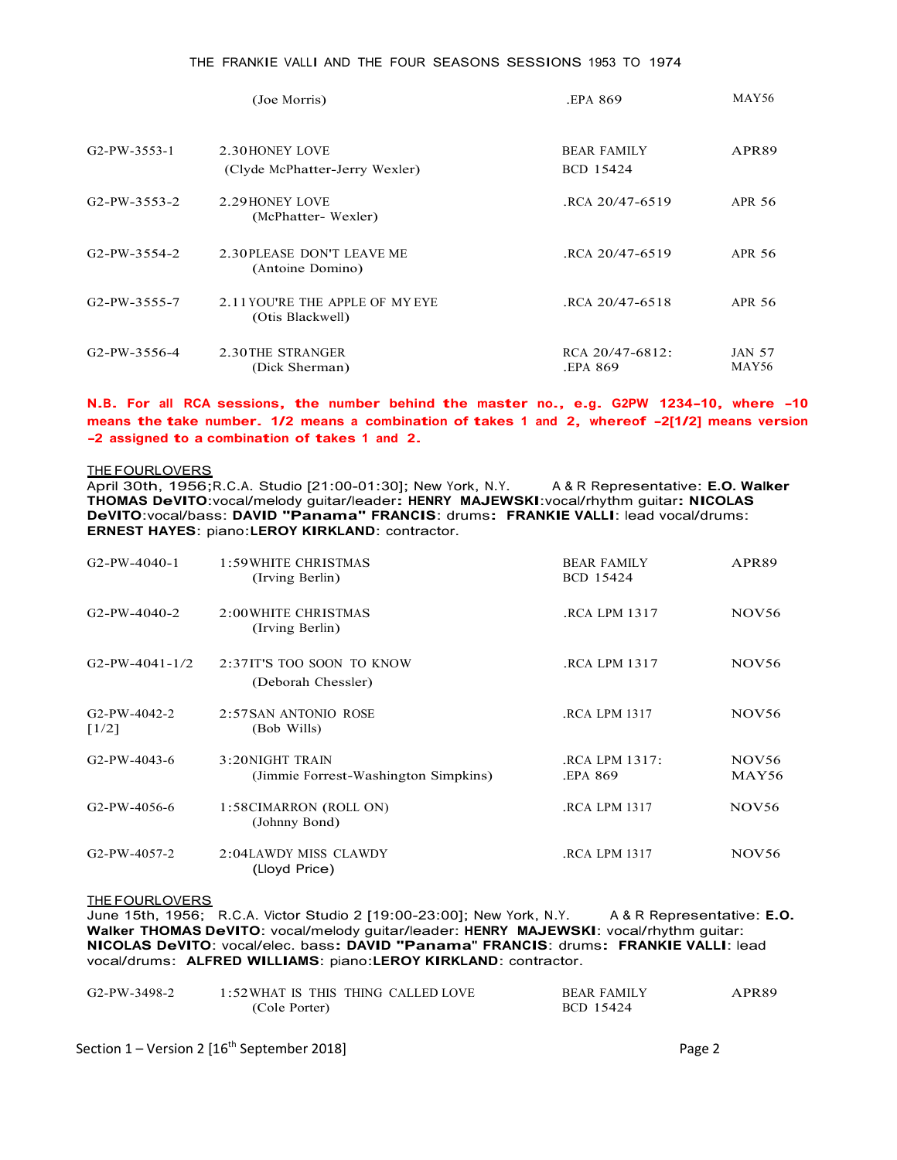# THE FRANKIE <sup>V</sup><sup>A</sup>LLI AND THE FOUR SEASONS SESSIONS 1953 TO 1974

|                           | (Joe Morris)                                        | EPA 869.                        | MAY56                  |
|---------------------------|-----------------------------------------------------|---------------------------------|------------------------|
| G2-PW-3553-1              | 2.30 HONEY LOVE<br>(Clyde McPhatter-Jerry Wexler)   | <b>BEAR FAMILY</b><br>BCD 15424 | APR89                  |
| $G2-PW-3553-2$            | 2.29 HONEY LOVE<br>(McPhatter-Wexler)               | RCA 20/47-6519.                 | APR 56                 |
| $G2-PW-3554-2$            | 2.30 PLEASE DON'T LEAVE ME<br>(Antoine Domino)      | RCA 20/47-6519                  | APR 56                 |
| G <sub>2</sub> -PW-3555-7 | 2.11 YOU'RE THE APPLE OF MY EYE<br>(Otis Blackwell) | RCA 20/47-6518                  | APR 56                 |
| G2-PW-3556-4              | 2.30 THE STRANGER<br>(Dick Sherman)                 | RCA 20/47-6812:<br>EPA 869.     | <b>JAN 57</b><br>MAY56 |

N.B. For all RCA sessions, the number behind the master no., e.g. G2PW 1234-10, where -10 means the take number. 1/2 means a combination of takes 1 and 2, whereof -2[1/2] means version -2 assigned to a combination of takes

### THE FOURLOVERS

April 30th, 1956;R.C.A. Studio [21:00-01:30]; New York, N.Y. A & R Representative: E.O. Walker THOMAS DeVITO:vocal/melody guitar/leader: HENRY MAJEWSKI:vocal/rhythm guitar: NICOLAS DeVITO:vocal/bass: DAVID "Panama" FRANCIS: drums: FRANKIE VALLI: lead vocal/drums:<br>ERNEST HAYES: piano:LEROY KIRKLAND: contractor.

| $G2-PW-4040-1$            | 1:59 WHITE CHRISTMAS<br>(Irving Berlin)                 | <b>BEAR FAMILY</b><br>BCD 15424 | APR89                      |
|---------------------------|---------------------------------------------------------|---------------------------------|----------------------------|
| $G2-PW-4040-2$            | 2:00 WHITE CHRISTMAS<br>(Irving Berlin)                 | .RCA LPM 1317                   | <b>NOV56</b>               |
| $G2-PW-4041-1/2$          | 2:37IT'S TOO SOON TO KNOW<br>(Deborah Chessler)         | RCA LPM 1317.                   | NOV <sub>56</sub>          |
| $G2-PW-4042-2$<br>$[1/2]$ | 2:57SAN ANTONIO ROSE<br>(Bob Wills)                     | <b>RCA LPM 1317</b>             | NOV <sub>56</sub>          |
| $G2-PW-4043-6$            | 3:20NIGHT TRAIN<br>(Jimmie Forrest-Washington Simpkins) | .RCA LPM 1317:<br>EPA 869.      | NOV <sub>56</sub><br>MAY56 |
| G <sub>2</sub> -PW-4056-6 | 1:58CIMARRON (ROLL ON)<br>(Johnny Bond)                 | .RCA LPM 1317                   | NOV <sub>56</sub>          |
| $G2-PW-4057-2$            | 2:04LAWDY MISS CLAWDY<br>(Lloyd Price)                  | .RCA LPM 1317                   | NOV <sub>56</sub>          |

### THE FOURLOVERS

June 15th, 1956; R.C.A. Victor Studio 2 [19:00-23:00]; New York, N.Y. A&R Representative: E.O. Walker THOMAS DeVITO: vocal/melody guitar/leader: HENRY MAJEWSKI: vocal/rhythm guitar:<br>NICOLAS DeVITO: vocal/elec. bass: DAVID

| G2-PW-3498-2 | 1:52WHAT IS THIS THING CALLED LOVE | <b>BEAR FAMILY</b> | PR89. |
|--------------|------------------------------------|--------------------|-------|
|              | (Cole Porter)                      | BCD 15424          |       |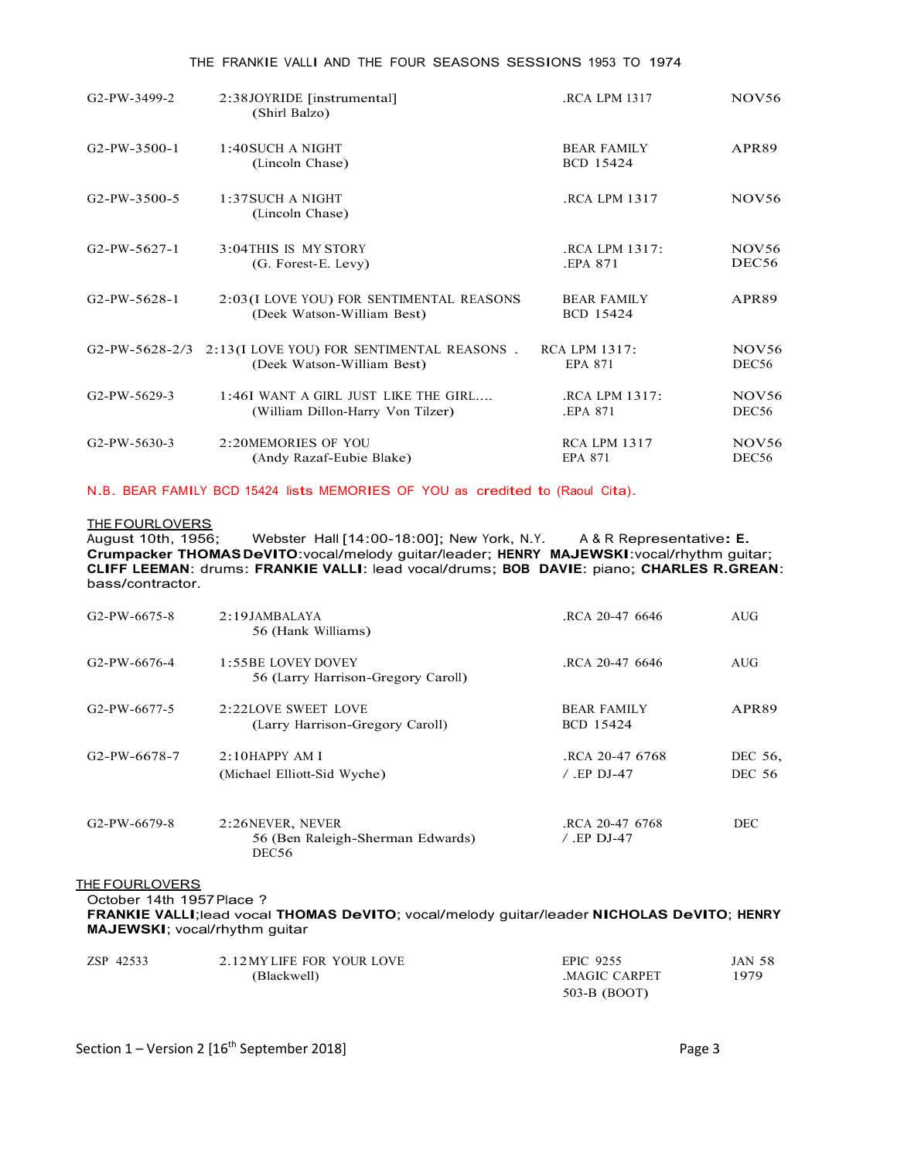| G <sub>2</sub> -PW-3499-2 | 2:38JOYRIDE [instrumental]<br>(Shirl Balzo)                            | <b>.RCA LPM 1317</b>            | NOV56             |
|---------------------------|------------------------------------------------------------------------|---------------------------------|-------------------|
| $G2-PW-3500-1$            | 1:40SUCH A NIGHT<br>(Lincoln Chase)                                    | <b>BEAR FAMILY</b><br>BCD 15424 | APR89             |
| G <sub>2</sub> -PW-3500-5 | 1:37 SUCH A NIGHT<br>(Lincoln Chase)                                   | .RCA LPM 1317                   | NOV56             |
| $G2-PW-5627-1$            | 3:04THIS IS MY STORY                                                   | .RCA LPM 1317:                  | <b>NOV56</b>      |
|                           | (G. Forest-E. Levy)                                                    | .EPA 871                        | DEC <sub>56</sub> |
| $G2-PW-5628-1$            | 2:03(I LOVE YOU) FOR SENTIMENTAL REASONS<br>(Deek Watson-William Best) | <b>BEAR FAMILY</b><br>BCD 15424 | APR89             |
|                           | G2-PW-5628-2/3 2:13(I LOVE YOU) FOR SENTIMENTAL REASONS.               | <b>RCA LPM 1317:</b>            | NOV <sub>56</sub> |
|                           | (Deek Watson-William Best)                                             | EPA 871                         | DEC56             |
| G2-PW-5629-3              | 1:46I WANT A GIRL JUST LIKE THE GIRL                                   | .RCA LPM 1317:                  | NOV <sub>56</sub> |
|                           | (William Dillon-Harry Von Tilzer)                                      | <b>.EPA 871</b>                 | DEC56             |
| G <sub>2</sub> -PW-5630-3 | 2:20MEMORIES OF YOU                                                    | <b>RCA LPM 1317</b>             | NOV <sub>56</sub> |
|                           | (Andy Razaf-Eubie Blake)                                               | EPA 871                         | DEC56             |

# THE FRANKIE <sup>V</sup><sup>A</sup>LLI AND THE FOUR SEASONS SESSIONS 1953 TO 1974

# N.B. BEAR FAMILY BCD 15424 l<sup>i</sup>sts MEMORIES OF YOU as credited to (Raoul C<sup>i</sup>ta).

<u>THE FOURLOVERS</u><br>August 10th, 1956; Webster Hall [14:00-18:00]; New York, N.Y. August 10th, 1956; Webster Hall [14:00-18:00]; New York, N.Y. A & R Representative: E. Crumpacker THOMAS DeVITO:vocal/melody guitar/leader; HENRY MAJEWSKI:vocal/rhythm guitar; CLIFF LEEMAN: drums: FRANKIE VALLI: lead vocal/drums; BOB DAVIE: piano; CHARLES R.GREAN: bass/contractor.

| G2-PW-6675-8              | 2:19JAMBALAYA<br>56 (Hank Williams)                           | RCA 20-47 6646                   | <b>AUG</b>               |
|---------------------------|---------------------------------------------------------------|----------------------------------|--------------------------|
| G <sub>2</sub> -PW-6676-4 | 1:55BE LOVEY DOVEY<br>56 (Larry Harrison-Gregory Caroll)      | RCA 20-47 6646                   | <b>AUG</b>               |
| G <sub>2</sub> -PW-6677-5 | 2:22LOVE SWEET LOVE<br>(Larry Harrison-Gregory Caroll)        | <b>BEAR FAMILY</b><br>BCD 15424  | APR89                    |
| G <sub>2</sub> -PW-6678-7 | 2:10HAPPYAMI<br>(Michael Elliott-Sid Wyche)                   | RCA 20-47 6768<br>$/$ . EP DJ-47 | DEC 56,<br><b>DEC 56</b> |
| $G2-PW-6679-8$            | 2:26NEVER, NEVER<br>56 (Ben Raleigh-Sherman Edwards)<br>DEC56 | RCA 20-47 6768<br>/ .EP DJ-47    | DEC.                     |

# THE FOURLOVERS

October 14th 1957Place ?

FRANKIE VALLI;lead vocal THOMAS DeVITO; vocal/melody guitar/leader NICHOLAS DeVITO; HENRY MAJEWSKI; vocal/rhythm guitar

| ZSP 42533 | 2.12 MY LIFE FOR YOUR LOVE<br>(Blackwell) | EPIC 9255<br>MAGIC CARPET | <b>JAN 58</b><br>'979 |  |
|-----------|-------------------------------------------|---------------------------|-----------------------|--|
|           |                                           | 503-B (BOOT)              |                       |  |